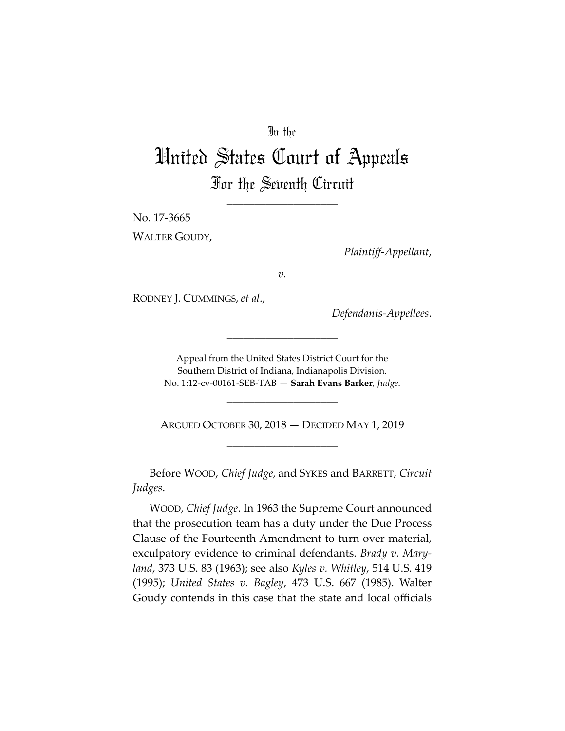## In the

# United States Court of Appeals For the Seventh Circuit

\_\_\_\_\_\_\_\_\_\_\_\_\_\_\_\_\_\_\_\_

No. 17‐3665

WALTER GOUDY,

*Plaintiff‐Appellant*,

*v.*

RODNEY J. CUMMINGS, *et al*.,

*Defendants‐Appellees*.

Appeal from the United States District Court for the Southern District of Indiana, Indianapolis Division. No. 1:12‐cv‐00161‐SEB‐TAB — **Sarah Evans Barker**, *Judge*.

\_\_\_\_\_\_\_\_\_\_\_\_\_\_\_\_\_\_\_\_

\_\_\_\_\_\_\_\_\_\_\_\_\_\_\_\_\_\_\_\_

ARGUED OCTOBER 30, 2018 — DECIDED MAY 1, 2019 \_\_\_\_\_\_\_\_\_\_\_\_\_\_\_\_\_\_\_\_

Before WOOD, *Chief Judge*, and SYKES and BARRETT, *Circuit Judges*.

WOOD, *Chief Judge*. In 1963 the Supreme Court announced that the prosecution team has a duty under the Due Process Clause of the Fourteenth Amendment to turn over material, exculpatory evidence to criminal defendants. *Brady v. Mary‐ land*, 373 U.S. 83 (1963); see also *Kyles v. Whitley*, 514 U.S. 419 (1995); *United States v. Bagley*, 473 U.S. 667 (1985). Walter Goudy contends in this case that the state and local officials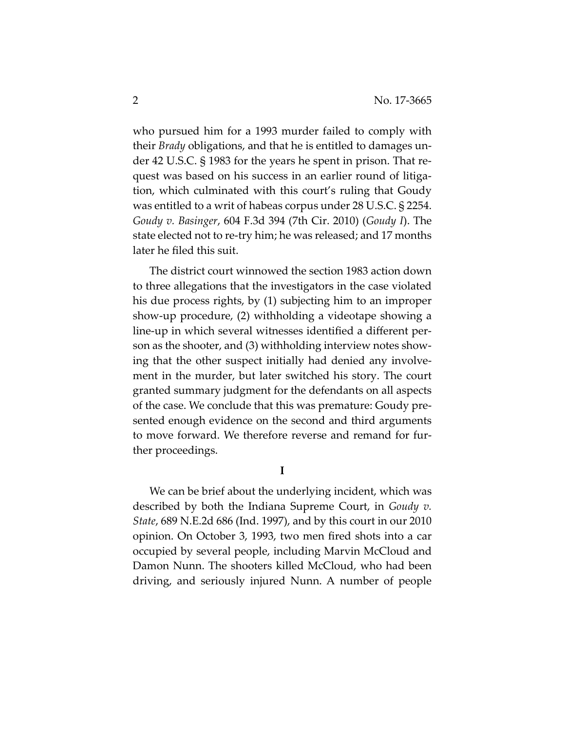who pursued him for a 1993 murder failed to comply with their *Brady* obligations, and that he is entitled to damages un‐ der 42 U.S.C. § 1983 for the years he spent in prison. That re‐ quest was based on his success in an earlier round of litiga‐ tion, which culminated with this court's ruling that Goudy was entitled to a writ of habeas corpus under 28 U.S.C. § 2254. *Goudy v. Basinger*, 604 F.3d 394 (7th Cir. 2010) (*Goudy I*). The state elected not to re‐try him; he was released; and 17 months later he filed this suit.

The district court winnowed the section 1983 action down to three allegations that the investigators in the case violated his due process rights, by (1) subjecting him to an improper show‐up procedure, (2) withholding a videotape showing a line‐up in which several witnesses identified a different per‐ son as the shooter, and (3) withholding interview notes show‐ ing that the other suspect initially had denied any involve‐ ment in the murder, but later switched his story. The court granted summary judgment for the defendants on all aspects of the case. We conclude that this was premature: Goudy pre‐ sented enough evidence on the second and third arguments to move forward. We therefore reverse and remand for fur‐ ther proceedings.

**I**

We can be brief about the underlying incident, which was described by both the Indiana Supreme Court, in *Goudy v. State*, 689 N.E.2d 686 (Ind. 1997), and by this court in our 2010 opinion. On October 3, 1993, two men fired shots into a car occupied by several people, including Marvin McCloud and Damon Nunn. The shooters killed McCloud, who had been driving, and seriously injured Nunn. A number of people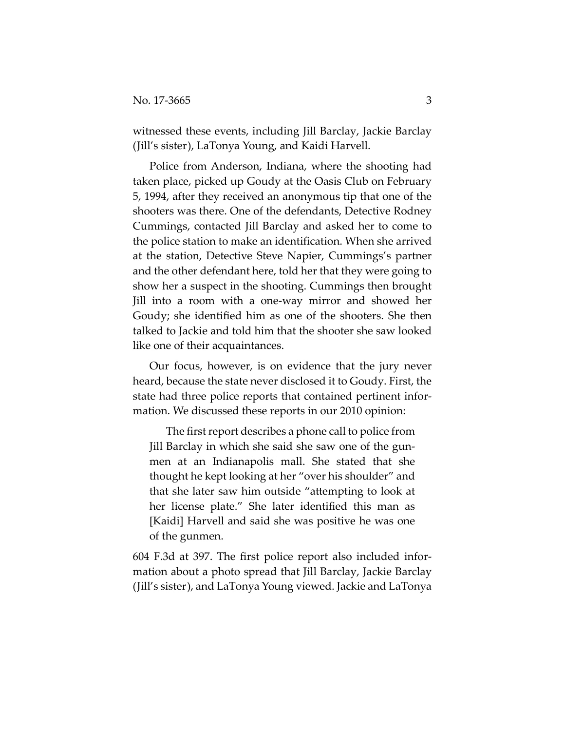witnessed these events, including Jill Barclay, Jackie Barclay (Jill's sister), LaTonya Young, and Kaidi Harvell.

Police from Anderson, Indiana, where the shooting had taken place, picked up Goudy at the Oasis Club on February 5, 1994, after they received an anonymous tip that one of the shooters was there. One of the defendants, Detective Rodney Cummings, contacted Jill Barclay and asked her to come to the police station to make an identification. When she arrived at the station, Detective Steve Napier, Cummings's partner and the other defendant here, told her that they were going to show her a suspect in the shooting. Cummings then brought Jill into a room with a one‐way mirror and showed her Goudy; she identified him as one of the shooters. She then talked to Jackie and told him that the shooter she saw looked like one of their acquaintances.

Our focus, however, is on evidence that the jury never heard, because the state never disclosed it to Goudy. First, the state had three police reports that contained pertinent infor‐ mation. We discussed these reports in our 2010 opinion:

The first report describes a phone call to police from Jill Barclay in which she said she saw one of the gun‐ men at an Indianapolis mall. She stated that she thought he kept looking at her "over his shoulder" and that she later saw him outside "attempting to look at her license plate." She later identified this man as [Kaidi] Harvell and said she was positive he was one of the gunmen.

604 F.3d at 397. The first police report also included infor‐ mation about a photo spread that Jill Barclay, Jackie Barclay (Jill's sister), and LaTonya Young viewed. Jackie and LaTonya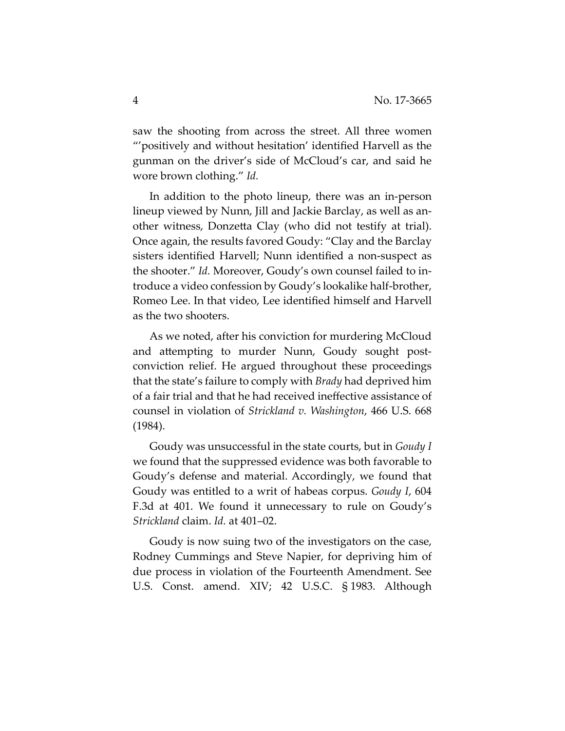saw the shooting from across the street. All three women "'positively and without hesitation' identified Harvell as the gunman on the driver's side of McCloud's car, and said he wore brown clothing." *Id.*

In addition to the photo lineup, there was an in‐person lineup viewed by Nunn, Jill and Jackie Barclay, as well as an‐ other witness, Donzetta Clay (who did not testify at trial). Once again, the results favored Goudy: "Clay and the Barclay sisters identified Harvell; Nunn identified a non‐suspect as the shooter." *Id.* Moreover, Goudy's own counsel failed to in‐ troduce a video confession by Goudy's lookalike half‐brother, Romeo Lee. In that video, Lee identified himself and Harvell as the two shooters.

As we noted, after his conviction for murdering McCloud and attempting to murder Nunn, Goudy sought post‐ conviction relief. He argued throughout these proceedings that the state's failure to comply with *Brady* had deprived him of a fair trial and that he had received ineffective assistance of counsel in violation of *Strickland v. Washington*, 466 U.S. 668 (1984).

Goudy was unsuccessful in the state courts, but in *Goudy I* we found that the suppressed evidence was both favorable to Goudy's defense and material. Accordingly, we found that Goudy was entitled to a writ of habeas corpus. *Goudy I*, 604 F.3d at 401. We found it unnecessary to rule on Goudy's *Strickland* claim. *Id.* at 401–02.

Goudy is now suing two of the investigators on the case, Rodney Cummings and Steve Napier, for depriving him of due process in violation of the Fourteenth Amendment. See U.S. Const. amend. XIV; 42 U.S.C. § 1983. Although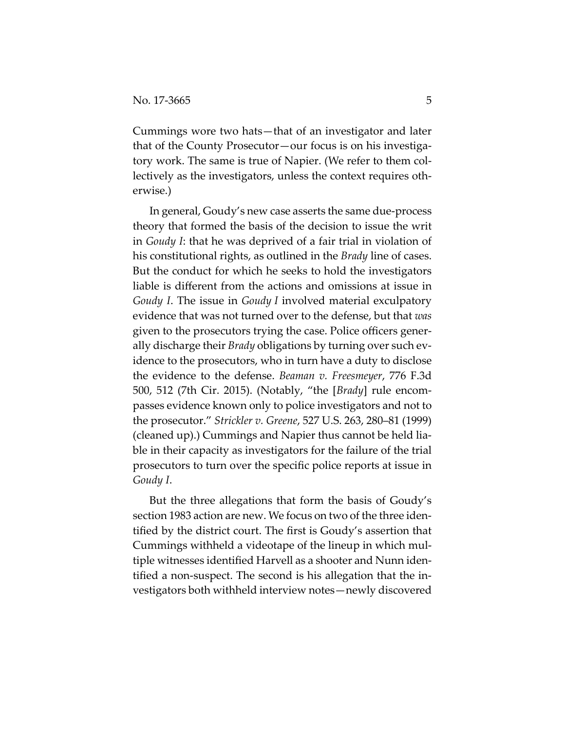Cummings wore two hats—that of an investigator and later that of the County Prosecutor—our focus is on his investiga‐ tory work. The same is true of Napier. (We refer to them col‐ lectively as the investigators, unless the context requires oth‐ erwise.)

In general, Goudy's new case asserts the same due‐process theory that formed the basis of the decision to issue the writ in *Goudy I*: that he was deprived of a fair trial in violation of his constitutional rights, as outlined in the *Brady* line of cases. But the conduct for which he seeks to hold the investigators liable is different from the actions and omissions at issue in *Goudy I*. The issue in *Goudy I* involved material exculpatory evidence that was not turned over to the defense, but that *was* given to the prosecutors trying the case. Police officers gener‐ ally discharge their *Brady* obligations by turning over such ev‐ idence to the prosecutors, who in turn have a duty to disclose the evidence to the defense. *Beaman v. Freesmeyer*, 776 F.3d 500, 512 (7th Cir. 2015). (Notably, "the [*Brady*] rule encom‐ passes evidence known only to police investigators and not to the prosecutor." *Strickler v. Greene*, 527 U.S. 263, 280–81 (1999) (cleaned up).) Cummings and Napier thus cannot be held lia‐ ble in their capacity as investigators for the failure of the trial prosecutors to turn over the specific police reports at issue in *Goudy I*.

But the three allegations that form the basis of Goudy's section 1983 action are new. We focus on two of the three identified by the district court. The first is Goudy's assertion that Cummings withheld a videotape of the lineup in which mul‐ tiple witnesses identified Harvell as a shooter and Nunn iden‐ tified a non‐suspect. The second is his allegation that the in‐ vestigators both withheld interview notes—newly discovered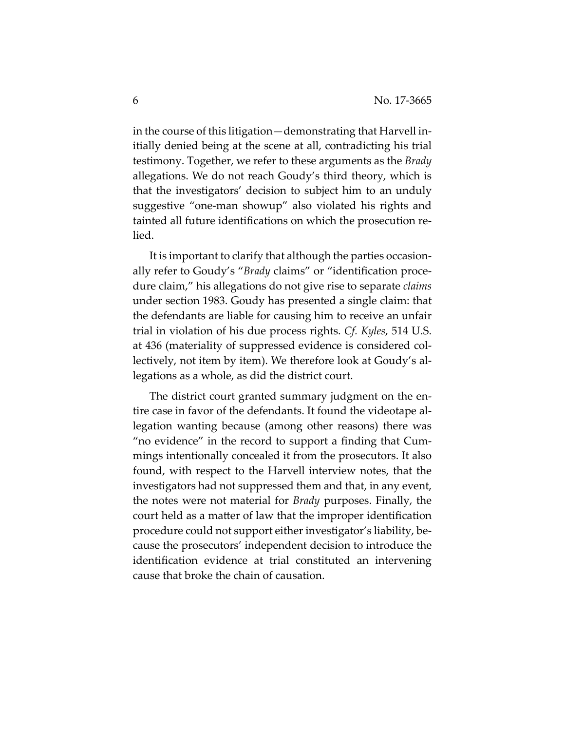in the course of this litigation—demonstrating that Harvell in‐ itially denied being at the scene at all, contradicting his trial testimony. Together, we refer to these arguments as the *Brady* allegations. We do not reach Goudy's third theory, which is that the investigators' decision to subject him to an unduly suggestive "one‐man showup" also violated his rights and tainted all future identifications on which the prosecution re‐ lied.

It is important to clarify that although the parties occasion‐ ally refer to Goudy's "*Brady* claims" or "identification proce‐ dure claim," his allegations do not give rise to separate *claims* under section 1983. Goudy has presented a single claim: that the defendants are liable for causing him to receive an unfair trial in violation of his due process rights. *Cf. Kyles*, 514 U.S. at 436 (materiality of suppressed evidence is considered col‐ lectively, not item by item). We therefore look at Goudy's al‐ legations as a whole, as did the district court.

The district court granted summary judgment on the en‐ tire case in favor of the defendants. It found the videotape al‐ legation wanting because (among other reasons) there was "no evidence" in the record to support a finding that Cum‐ mings intentionally concealed it from the prosecutors. It also found, with respect to the Harvell interview notes, that the investigators had not suppressed them and that, in any event, the notes were not material for *Brady* purposes. Finally, the court held as a matter of law that the improper identification procedure could not support either investigator's liability, be‐ cause the prosecutors' independent decision to introduce the identification evidence at trial constituted an intervening cause that broke the chain of causation.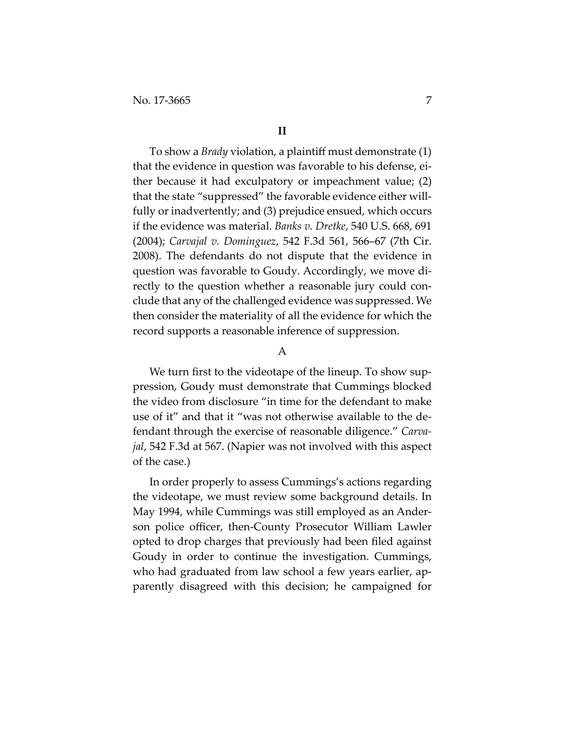#### **II**

To show a *Brady* violation, a plaintiff must demonstrate (1) that the evidence in question was favorable to his defense, either because it had exculpatory or impeachment value; (2) that the state "suppressed" the favorable evidence either will‐ fully or inadvertently; and (3) prejudice ensued, which occurs if the evidence was material. *Banks v. Dretke*, 540 U.S. 668, 691 (2004); *Carvajal v. Dominguez*, 542 F.3d 561, 566–67 (7th Cir. 2008). The defendants do not dispute that the evidence in question was favorable to Goudy. Accordingly, we move di‐ rectly to the question whether a reasonable jury could conclude that any of the challenged evidence was suppressed. We then consider the materiality of all the evidence for which the record supports a reasonable inference of suppression.

#### A

We turn first to the videotape of the lineup. To show suppression, Goudy must demonstrate that Cummings blocked the video from disclosure "in time for the defendant to make use of it" and that it "was not otherwise available to the de‐ fendant through the exercise of reasonable diligence." *Carva‐ jal*, 542 F.3d at 567. (Napier was not involved with this aspect of the case.)

In order properly to assess Cummings's actions regarding the videotape, we must review some background details. In May 1994, while Cummings was still employed as an Ander‐ son police officer, then-County Prosecutor William Lawler opted to drop charges that previously had been filed against Goudy in order to continue the investigation. Cummings, who had graduated from law school a few years earlier, ap‐ parently disagreed with this decision; he campaigned for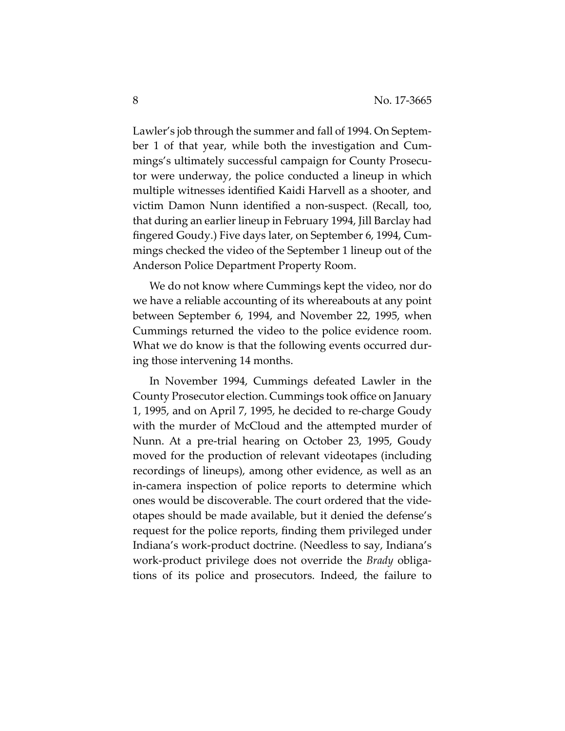Lawler's job through the summer and fall of 1994. On Septem‐ ber 1 of that year, while both the investigation and Cum‐ mings's ultimately successful campaign for County Prosecu‐ tor were underway, the police conducted a lineup in which multiple witnesses identified Kaidi Harvell as a shooter, and victim Damon Nunn identified a non‐suspect. (Recall, too, that during an earlier lineup in February 1994, Jill Barclay had fingered Goudy.) Five days later, on September 6, 1994, Cum‐ mings checked the video of the September 1 lineup out of the Anderson Police Department Property Room.

We do not know where Cummings kept the video, nor do we have a reliable accounting of its whereabouts at any point between September 6, 1994, and November 22, 1995, when Cummings returned the video to the police evidence room. What we do know is that the following events occurred during those intervening 14 months.

In November 1994, Cummings defeated Lawler in the County Prosecutor election. Cummings took office on January 1, 1995, and on April 7, 1995, he decided to re‐charge Goudy with the murder of McCloud and the attempted murder of Nunn. At a pre‐trial hearing on October 23, 1995, Goudy moved for the production of relevant videotapes (including recordings of lineups), among other evidence, as well as an in‐camera inspection of police reports to determine which ones would be discoverable. The court ordered that the vide‐ otapes should be made available, but it denied the defense's request for the police reports, finding them privileged under Indiana's work‐product doctrine. (Needless to say, Indiana's work‐product privilege does not override the *Brady* obliga‐ tions of its police and prosecutors. Indeed, the failure to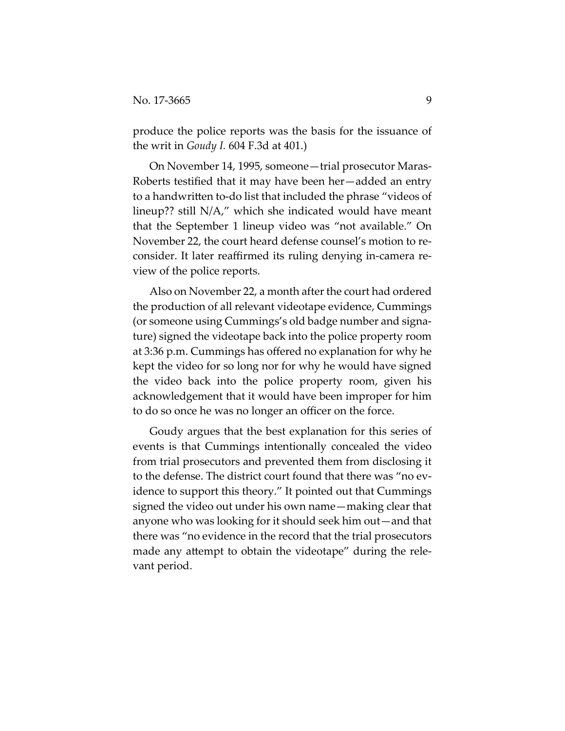produce the police reports was the basis for the issuance of the writ in *Goudy I.* 604 F.3d at 401.)

On November 14, 1995, someone—trial prosecutor Maras‐ Roberts testified that it may have been her—added an entry to a handwritten to‐do list that included the phrase "videos of lineup?? still N/A," which she indicated would have meant that the September 1 lineup video was "not available." On November 22, the court heard defense counsel's motion to re‐ consider. It later reaffirmed its ruling denying in‐camera re‐ view of the police reports.

Also on November 22, a month after the court had ordered the production of all relevant videotape evidence, Cummings (or someone using Cummings's old badge number and signa‐ ture) signed the videotape back into the police property room at 3:36 p.m. Cummings has offered no explanation for why he kept the video for so long nor for why he would have signed the video back into the police property room, given his acknowledgement that it would have been improper for him to do so once he was no longer an officer on the force.

Goudy argues that the best explanation for this series of events is that Cummings intentionally concealed the video from trial prosecutors and prevented them from disclosing it to the defense. The district court found that there was "no ev‐ idence to support this theory." It pointed out that Cummings signed the video out under his own name—making clear that anyone who was looking for it should seek him out—and that there was "no evidence in the record that the trial prosecutors made any attempt to obtain the videotape" during the relevant period.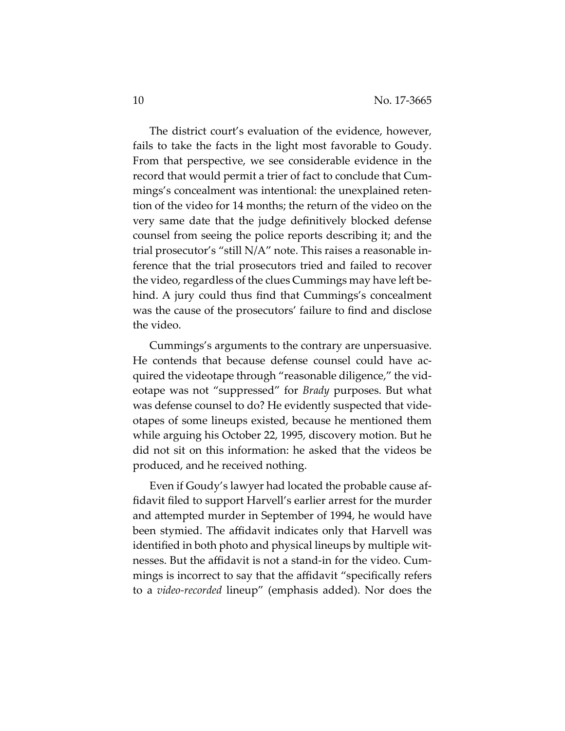The district court's evaluation of the evidence, however, fails to take the facts in the light most favorable to Goudy. From that perspective, we see considerable evidence in the record that would permit a trier of fact to conclude that Cum‐ mings's concealment was intentional: the unexplained reten‐ tion of the video for 14 months; the return of the video on the very same date that the judge definitively blocked defense counsel from seeing the police reports describing it; and the trial prosecutor's "still N/A" note. This raises a reasonable in‐ ference that the trial prosecutors tried and failed to recover the video, regardless of the clues Cummings may have left be‐ hind. A jury could thus find that Cummings's concealment was the cause of the prosecutors' failure to find and disclose the video.

Cummings's arguments to the contrary are unpersuasive. He contends that because defense counsel could have acquired the videotape through "reasonable diligence," the vid‐ eotape was not "suppressed" for *Brady* purposes. But what was defense counsel to do? He evidently suspected that vide‐ otapes of some lineups existed, because he mentioned them while arguing his October 22, 1995, discovery motion. But he did not sit on this information: he asked that the videos be produced, and he received nothing.

Even if Goudy's lawyer had located the probable cause af‐ fidavit filed to support Harvell's earlier arrest for the murder and attempted murder in September of 1994, he would have been stymied. The affidavit indicates only that Harvell was identified in both photo and physical lineups by multiple wit‐ nesses. But the affidavit is not a stand‐in for the video. Cum‐ mings is incorrect to say that the affidavit "specifically refers to a *video‐recorded* lineup" (emphasis added). Nor does the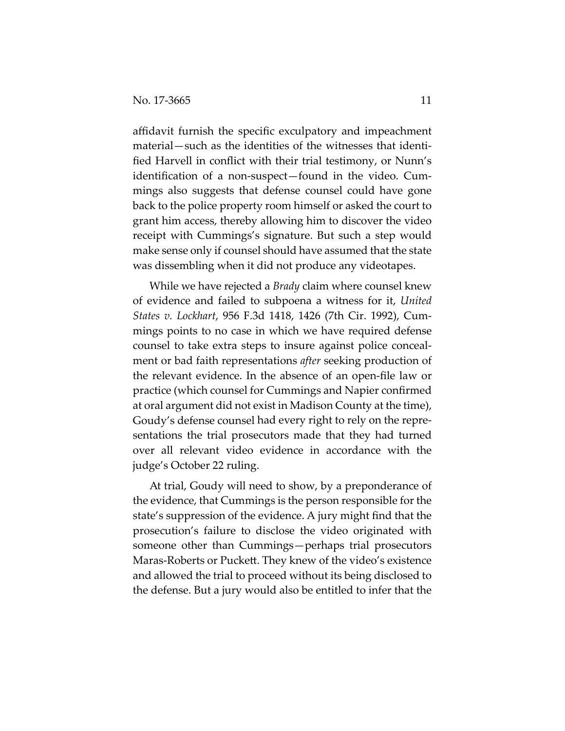affidavit furnish the specific exculpatory and impeachment material—such as the identities of the witnesses that identi‐ fied Harvell in conflict with their trial testimony, or Nunn's identification of a non-suspect—found in the video. Cummings also suggests that defense counsel could have gone back to the police property room himself or asked the court to grant him access, thereby allowing him to discover the video receipt with Cummings's signature. But such a step would make sense only if counsel should have assumed that the state was dissembling when it did not produce any videotapes.

While we have rejected a *Brady* claim where counsel knew of evidence and failed to subpoena a witness for it, *United States v. Lockhart*, 956 F.3d 1418, 1426 (7th Cir. 1992), Cum‐ mings points to no case in which we have required defense counsel to take extra steps to insure against police conceal‐ ment or bad faith representations *after* seeking production of the relevant evidence. In the absence of an open‐file law or practice (which counsel for Cummings and Napier confirmed at oral argument did not exist in Madison County at the time), Goudy's defense counsel had every right to rely on the repre‐ sentations the trial prosecutors made that they had turned over all relevant video evidence in accordance with the judge's October 22 ruling.

At trial, Goudy will need to show, by a preponderance of the evidence, that Cummings is the person responsible for the state's suppression of the evidence. A jury might find that the prosecution's failure to disclose the video originated with someone other than Cummings—perhaps trial prosecutors Maras‐Roberts or Puckett. They knew of the video's existence and allowed the trial to proceed without its being disclosed to the defense. But a jury would also be entitled to infer that the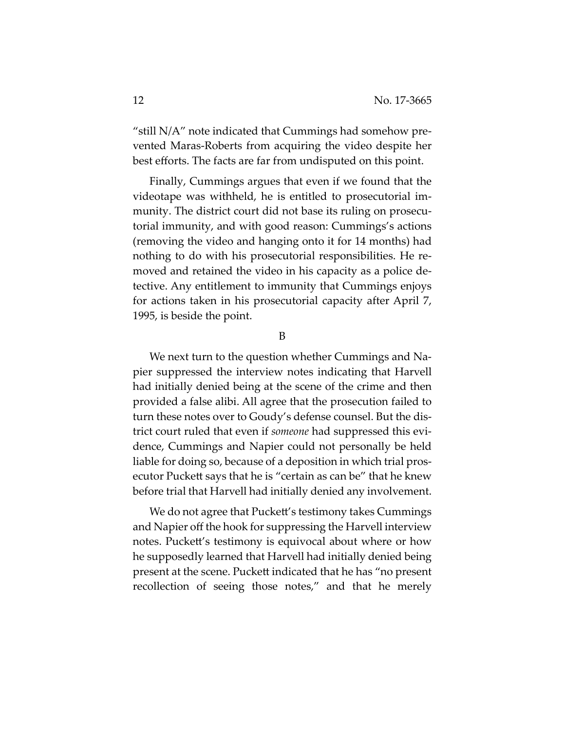"still N/A" note indicated that Cummings had somehow pre‐ vented Maras‐Roberts from acquiring the video despite her best efforts. The facts are far from undisputed on this point.

Finally, Cummings argues that even if we found that the videotape was withheld, he is entitled to prosecutorial im‐ munity. The district court did not base its ruling on prosecutorial immunity, and with good reason: Cummings's actions (removing the video and hanging onto it for 14 months) had nothing to do with his prosecutorial responsibilities. He re‐ moved and retained the video in his capacity as a police de‐ tective. Any entitlement to immunity that Cummings enjoys for actions taken in his prosecutorial capacity after April 7, 1995, is beside the point.

B

We next turn to the question whether Cummings and Na‐ pier suppressed the interview notes indicating that Harvell had initially denied being at the scene of the crime and then provided a false alibi. All agree that the prosecution failed to turn these notes over to Goudy's defense counsel. But the dis‐ trict court ruled that even if *someone* had suppressed this evi‐ dence, Cummings and Napier could not personally be held liable for doing so, because of a deposition in which trial prosecutor Puckett says that he is "certain as can be" that he knew before trial that Harvell had initially denied any involvement.

We do not agree that Puckett's testimony takes Cummings and Napier off the hook for suppressing the Harvell interview notes. Puckett's testimony is equivocal about where or how he supposedly learned that Harvell had initially denied being present at the scene. Puckett indicated that he has "no present recollection of seeing those notes," and that he merely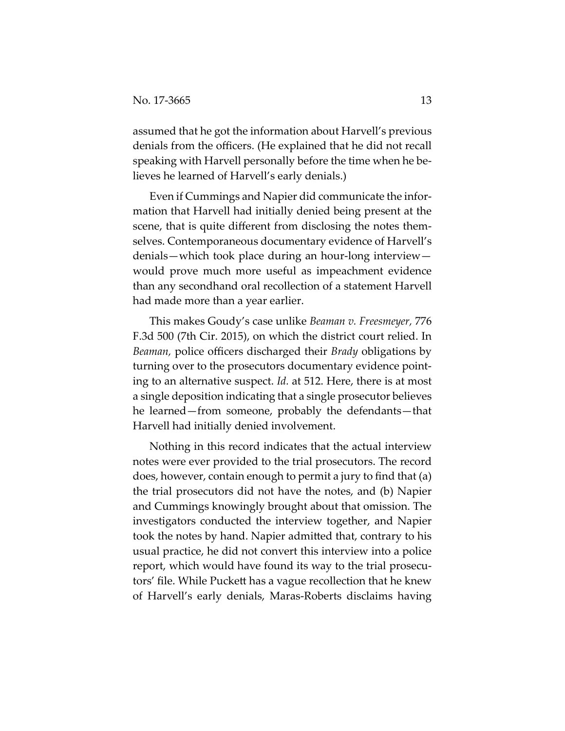assumed that he got the information about Harvell's previous denials from the officers. (He explained that he did not recall speaking with Harvell personally before the time when he believes he learned of Harvell's early denials.)

Even if Cummings and Napier did communicate the infor‐ mation that Harvell had initially denied being present at the scene, that is quite different from disclosing the notes them‐ selves. Contemporaneous documentary evidence of Harvell's denials—which took place during an hour‐long interview would prove much more useful as impeachment evidence than any secondhand oral recollection of a statement Harvell had made more than a year earlier.

This makes Goudy's case unlike *Beaman v. Freesmeyer,* 776 F.3d 500 (7th Cir. 2015), on which the district court relied. In *Beaman,* police officers discharged their *Brady* obligations by turning over to the prosecutors documentary evidence point‐ ing to an alternative suspect. *Id.* at 512. Here, there is at most a single deposition indicating that a single prosecutor believes he learned—from someone, probably the defendants—that Harvell had initially denied involvement.

Nothing in this record indicates that the actual interview notes were ever provided to the trial prosecutors. The record does, however, contain enough to permit a jury to find that (a) the trial prosecutors did not have the notes, and (b) Napier and Cummings knowingly brought about that omission. The investigators conducted the interview together, and Napier took the notes by hand. Napier admitted that, contrary to his usual practice, he did not convert this interview into a police report, which would have found its way to the trial prosecu‐ tors' file. While Puckett has a vague recollection that he knew of Harvell's early denials, Maras‐Roberts disclaims having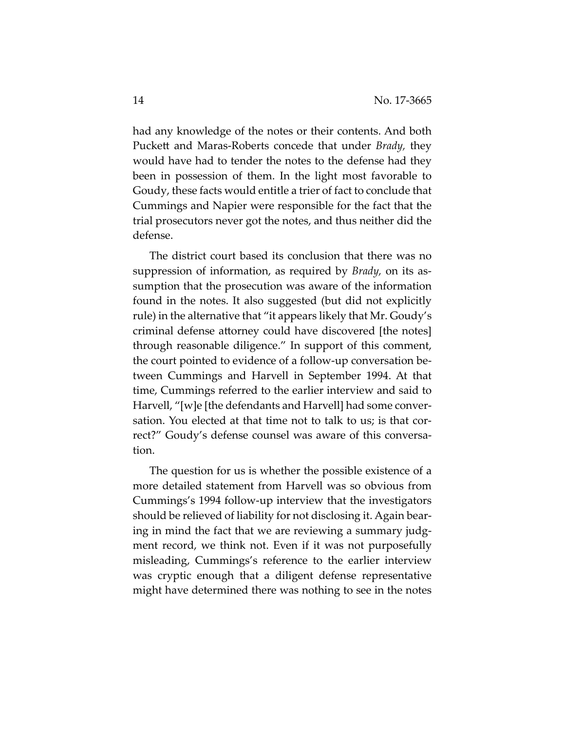had any knowledge of the notes or their contents. And both Puckett and Maras‐Roberts concede that under *Brady,* they would have had to tender the notes to the defense had they been in possession of them. In the light most favorable to Goudy, these facts would entitle a trier of fact to conclude that Cummings and Napier were responsible for the fact that the trial prosecutors never got the notes, and thus neither did the defense.

The district court based its conclusion that there was no suppression of information, as required by *Brady,* on its as‐ sumption that the prosecution was aware of the information found in the notes. It also suggested (but did not explicitly rule) in the alternative that "it appears likely that Mr. Goudy's criminal defense attorney could have discovered [the notes] through reasonable diligence." In support of this comment, the court pointed to evidence of a follow‐up conversation be‐ tween Cummings and Harvell in September 1994. At that time, Cummings referred to the earlier interview and said to Harvell, "[w]e [the defendants and Harvell] had some conver‐ sation. You elected at that time not to talk to us; is that correct?" Goudy's defense counsel was aware of this conversa‐ tion.

The question for us is whether the possible existence of a more detailed statement from Harvell was so obvious from Cummings's 1994 follow‐up interview that the investigators should be relieved of liability for not disclosing it. Again bear‐ ing in mind the fact that we are reviewing a summary judgment record, we think not. Even if it was not purposefully misleading, Cummings's reference to the earlier interview was cryptic enough that a diligent defense representative might have determined there was nothing to see in the notes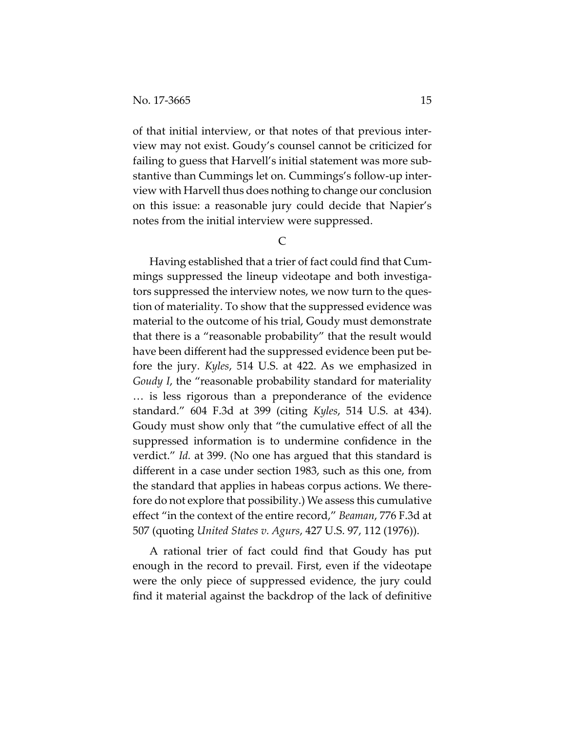of that initial interview, or that notes of that previous inter‐ view may not exist. Goudy's counsel cannot be criticized for failing to guess that Harvell's initial statement was more sub‐ stantive than Cummings let on. Cummings's follow‐up inter‐ view with Harvell thus does nothing to change our conclusion on this issue: a reasonable jury could decide that Napier's notes from the initial interview were suppressed.

C

Having established that a trier of fact could find that Cum‐ mings suppressed the lineup videotape and both investiga‐ tors suppressed the interview notes, we now turn to the ques‐ tion of materiality. To show that the suppressed evidence was material to the outcome of his trial, Goudy must demonstrate that there is a "reasonable probability" that the result would have been different had the suppressed evidence been put be‐ fore the jury. *Kyles*, 514 U.S. at 422. As we emphasized in *Goudy I*, the "reasonable probability standard for materiality … is less rigorous than a preponderance of the evidence standard." 604 F.3d at 399 (citing *Kyles*, 514 U.S. at 434). Goudy must show only that "the cumulative effect of all the suppressed information is to undermine confidence in the verdict." *Id.* at 399. (No one has argued that this standard is different in a case under section 1983, such as this one, from the standard that applies in habeas corpus actions. We there‐ fore do not explore that possibility.) We assess this cumulative effect "in the context of the entire record," *Beaman*, 776 F.3d at 507 (quoting *United States v. Agurs*, 427 U.S. 97, 112 (1976)).

A rational trier of fact could find that Goudy has put enough in the record to prevail. First, even if the videotape were the only piece of suppressed evidence, the jury could find it material against the backdrop of the lack of definitive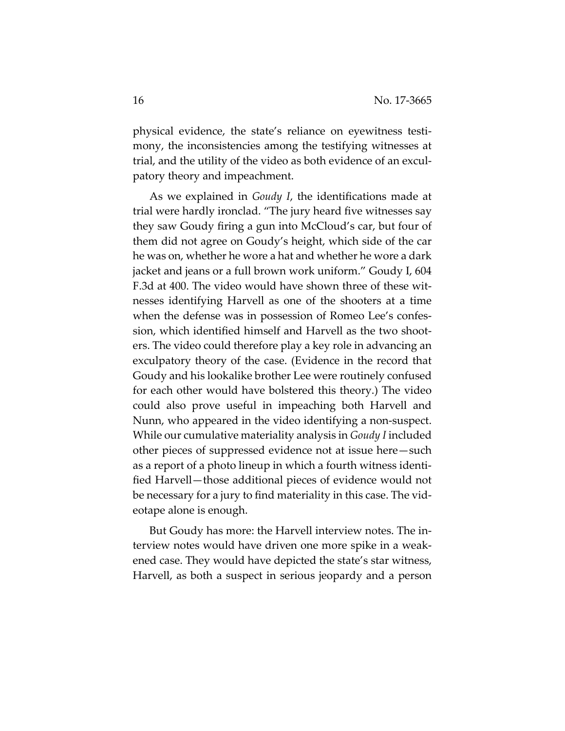physical evidence, the state's reliance on eyewitness testi‐ mony, the inconsistencies among the testifying witnesses at trial, and the utility of the video as both evidence of an excul‐ patory theory and impeachment.

As we explained in *Goudy I*, the identifications made at trial were hardly ironclad. "The jury heard five witnesses say they saw Goudy firing a gun into McCloud's car, but four of them did not agree on Goudy's height, which side of the car he was on, whether he wore a hat and whether he wore a dark jacket and jeans or a full brown work uniform." Goudy I, 604 F.3d at 400. The video would have shown three of these witnesses identifying Harvell as one of the shooters at a time when the defense was in possession of Romeo Lee's confession, which identified himself and Harvell as the two shooters. The video could therefore play a key role in advancing an exculpatory theory of the case. (Evidence in the record that Goudy and his lookalike brother Lee were routinely confused for each other would have bolstered this theory.) The video could also prove useful in impeaching both Harvell and Nunn, who appeared in the video identifying a non‐suspect. While our cumulative materiality analysis in *Goudy I* included other pieces of suppressed evidence not at issue here—such as a report of a photo lineup in which a fourth witness identi‐ fied Harvell—those additional pieces of evidence would not be necessary for a jury to find materiality in this case. The vid‐ eotape alone is enough.

But Goudy has more: the Harvell interview notes. The in‐ terview notes would have driven one more spike in a weak‐ ened case. They would have depicted the state's star witness, Harvell, as both a suspect in serious jeopardy and a person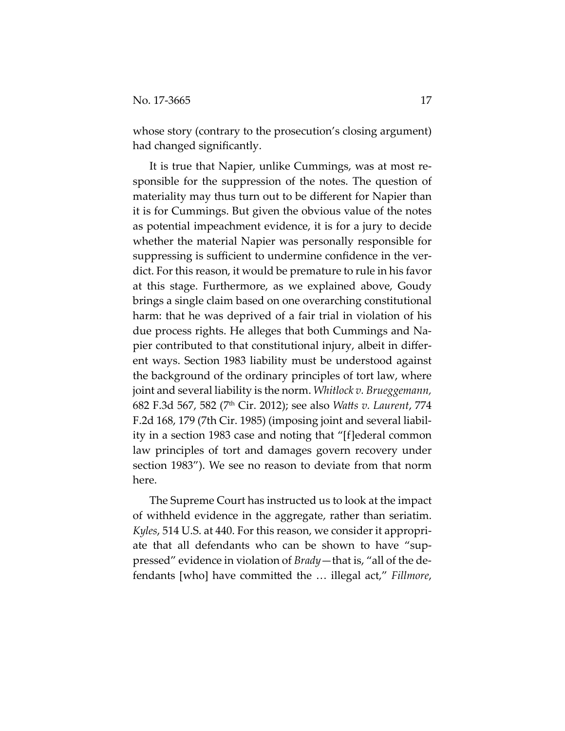whose story (contrary to the prosecution's closing argument) had changed significantly.

It is true that Napier, unlike Cummings, was at most re‐ sponsible for the suppression of the notes. The question of materiality may thus turn out to be different for Napier than it is for Cummings. But given the obvious value of the notes as potential impeachment evidence, it is for a jury to decide whether the material Napier was personally responsible for suppressing is sufficient to undermine confidence in the verdict. For this reason, it would be premature to rule in his favor at this stage. Furthermore, as we explained above, Goudy brings a single claim based on one overarching constitutional harm: that he was deprived of a fair trial in violation of his due process rights. He alleges that both Cummings and Na‐ pier contributed to that constitutional injury, albeit in differ‐ ent ways. Section 1983 liability must be understood against the background of the ordinary principles of tort law, where joint and several liability is the norm. *Whitlock v. Brueggemann,* 682 F.3d 567, 582 (7th Cir. 2012); see also *Watts v. Laurent*, 774 F.2d 168, 179 (7th Cir. 1985) (imposing joint and several liabil‐ ity in a section 1983 case and noting that "[f]ederal common law principles of tort and damages govern recovery under section 1983"). We see no reason to deviate from that norm here.

The Supreme Court has instructed us to look at the impact of withheld evidence in the aggregate, rather than seriatim. *Kyles*, 514 U.S. at 440. For this reason, we consider it appropri‐ ate that all defendants who can be shown to have "sup‐ pressed" evidence in violation of *Brady*—that is, "all of the de‐ fendants [who] have committed the … illegal act," *Fillmore*,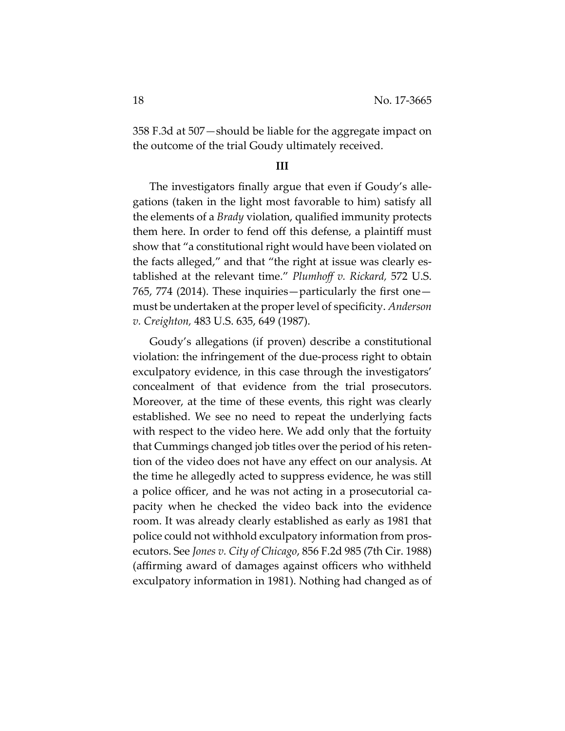358 F.3d at 507*—*should be liable for the aggregate impact on the outcome of the trial Goudy ultimately received.

#### **III**

The investigators finally argue that even if Goudy's alle‐ gations (taken in the light most favorable to him) satisfy all the elements of a *Brady* violation, qualified immunity protects them here. In order to fend off this defense, a plaintiff must show that "a constitutional right would have been violated on the facts alleged," and that "the right at issue was clearly es‐ tablished at the relevant time." *Plumhoff v. Rickard,* 572 U.S. 765, 774 (2014). These inquiries—particularly the first one must be undertaken at the proper level of specificity. *Anderson v. Creighton,* 483 U.S. 635, 649 (1987).

Goudy's allegations (if proven) describe a constitutional violation: the infringement of the due‐process right to obtain exculpatory evidence, in this case through the investigators' concealment of that evidence from the trial prosecutors. Moreover, at the time of these events, this right was clearly established. We see no need to repeat the underlying facts with respect to the video here. We add only that the fortuity that Cummings changed job titles over the period of his reten‐ tion of the video does not have any effect on our analysis. At the time he allegedly acted to suppress evidence, he was still a police officer, and he was not acting in a prosecutorial ca‐ pacity when he checked the video back into the evidence room. It was already clearly established as early as 1981 that police could not withhold exculpatory information from pros‐ ecutors. See *Jones v. City of Chicago*, 856 F.2d 985 (7th Cir. 1988) (affirming award of damages against officers who withheld exculpatory information in 1981). Nothing had changed as of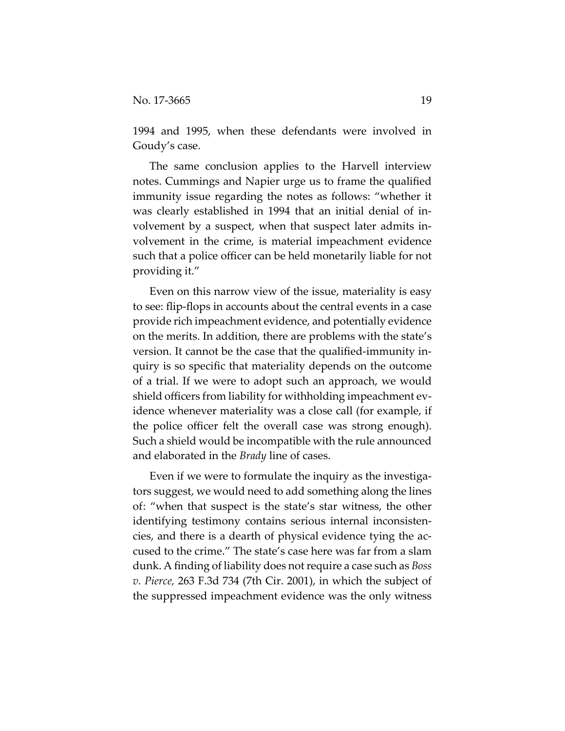1994 and 1995, when these defendants were involved in Goudy's case.

The same conclusion applies to the Harvell interview notes. Cummings and Napier urge us to frame the qualified immunity issue regarding the notes as follows: "whether it was clearly established in 1994 that an initial denial of in‐ volvement by a suspect, when that suspect later admits in‐ volvement in the crime, is material impeachment evidence such that a police officer can be held monetarily liable for not providing it."

Even on this narrow view of the issue, materiality is easy to see: flip‐flops in accounts about the central events in a case provide rich impeachment evidence, and potentially evidence on the merits. In addition, there are problems with the state's version. It cannot be the case that the qualified‐immunity in‐ quiry is so specific that materiality depends on the outcome of a trial. If we were to adopt such an approach, we would shield officers from liability for withholding impeachment evidence whenever materiality was a close call (for example, if the police officer felt the overall case was strong enough). Such a shield would be incompatible with the rule announced and elaborated in the *Brady* line of cases.

Even if we were to formulate the inquiry as the investigators suggest, we would need to add something along the lines of: "when that suspect is the state's star witness, the other identifying testimony contains serious internal inconsisten‐ cies, and there is a dearth of physical evidence tying the ac‐ cused to the crime." The state's case here was far from a slam dunk. A finding of liability does notrequire a case such as *Boss v. Pierce,* 263 F.3d 734 (7th Cir. 2001), in which the subject of the suppressed impeachment evidence was the only witness